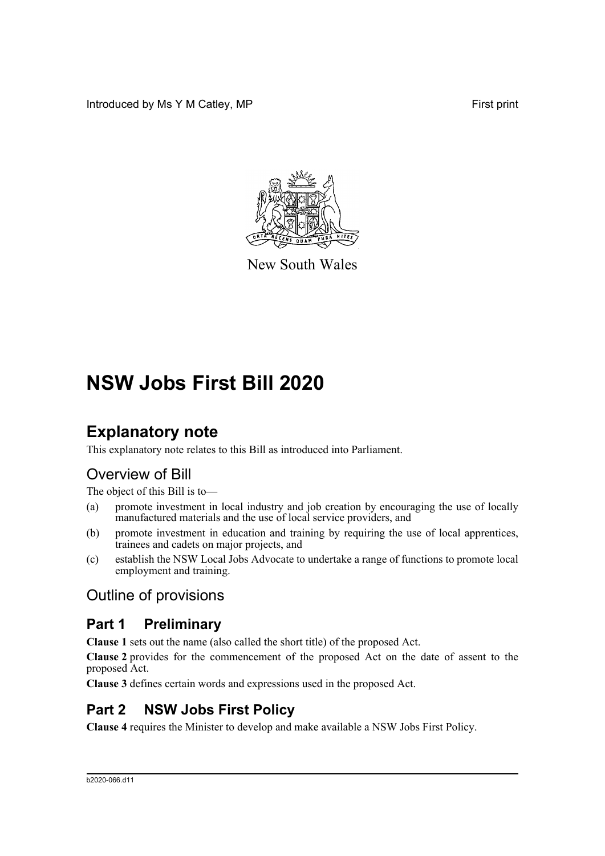Introduced by Ms Y M Catley, MP **First** print



New South Wales

# **NSW Jobs First Bill 2020**

# **Explanatory note**

This explanatory note relates to this Bill as introduced into Parliament.

## Overview of Bill

The object of this Bill is to—

- (a) promote investment in local industry and job creation by encouraging the use of locally manufactured materials and the use of local service providers, and
- (b) promote investment in education and training by requiring the use of local apprentices, trainees and cadets on major projects, and
- (c) establish the NSW Local Jobs Advocate to undertake a range of functions to promote local employment and training.

## Outline of provisions

### **Part 1 Preliminary**

**Clause 1** sets out the name (also called the short title) of the proposed Act.

**Clause 2** provides for the commencement of the proposed Act on the date of assent to the proposed Act.

**Clause 3** defines certain words and expressions used in the proposed Act.

## **Part 2 NSW Jobs First Policy**

**Clause 4** requires the Minister to develop and make available a NSW Jobs First Policy.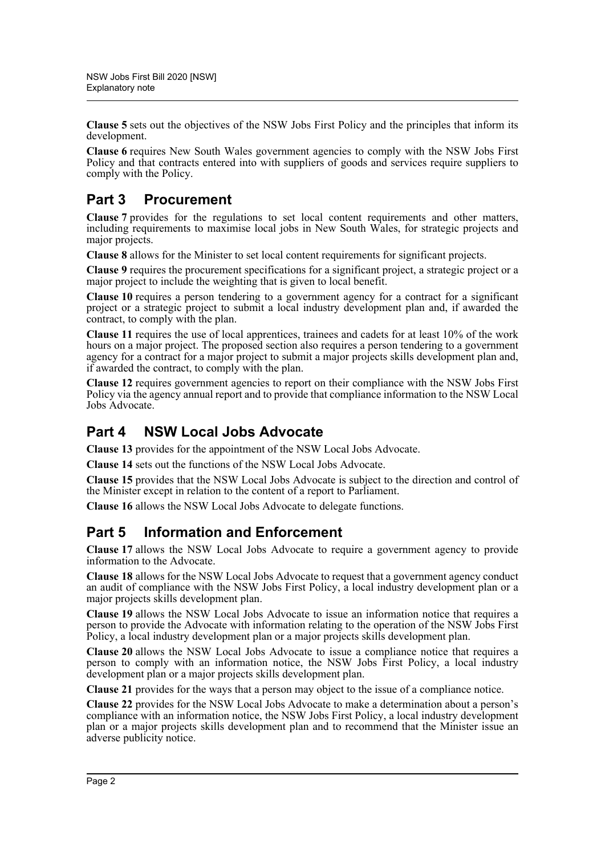**Clause 5** sets out the objectives of the NSW Jobs First Policy and the principles that inform its development.

**Clause 6** requires New South Wales government agencies to comply with the NSW Jobs First Policy and that contracts entered into with suppliers of goods and services require suppliers to comply with the Policy.

## **Part 3 Procurement**

**Clause 7** provides for the regulations to set local content requirements and other matters, including requirements to maximise local jobs in New South Wales, for strategic projects and major projects.

**Clause 8** allows for the Minister to set local content requirements for significant projects.

**Clause 9** requires the procurement specifications for a significant project, a strategic project or a major project to include the weighting that is given to local benefit.

**Clause 10** requires a person tendering to a government agency for a contract for a significant project or a strategic project to submit a local industry development plan and, if awarded the contract, to comply with the plan.

**Clause 11** requires the use of local apprentices, trainees and cadets for at least 10% of the work hours on a major project. The proposed section also requires a person tendering to a government agency for a contract for a major project to submit a major projects skills development plan and, if awarded the contract, to comply with the plan.

**Clause 12** requires government agencies to report on their compliance with the NSW Jobs First Policy via the agency annual report and to provide that compliance information to the NSW Local Jobs Advocate.

## **Part 4 NSW Local Jobs Advocate**

**Clause 13** provides for the appointment of the NSW Local Jobs Advocate.

**Clause 14** sets out the functions of the NSW Local Jobs Advocate.

**Clause 15** provides that the NSW Local Jobs Advocate is subject to the direction and control of the Minister except in relation to the content of a report to Parliament.

**Clause 16** allows the NSW Local Jobs Advocate to delegate functions.

### **Part 5 Information and Enforcement**

**Clause 17** allows the NSW Local Jobs Advocate to require a government agency to provide information to the Advocate.

**Clause 18** allows for the NSW Local Jobs Advocate to request that a government agency conduct an audit of compliance with the NSW Jobs First Policy, a local industry development plan or a major projects skills development plan.

**Clause 19** allows the NSW Local Jobs Advocate to issue an information notice that requires a person to provide the Advocate with information relating to the operation of the NSW Jobs First Policy, a local industry development plan or a major projects skills development plan.

**Clause 20** allows the NSW Local Jobs Advocate to issue a compliance notice that requires a person to comply with an information notice, the NSW Jobs First Policy, a local industry development plan or a major projects skills development plan.

**Clause 21** provides for the ways that a person may object to the issue of a compliance notice.

**Clause 22** provides for the NSW Local Jobs Advocate to make a determination about a person's compliance with an information notice, the NSW Jobs First Policy, a local industry development plan or a major projects skills development plan and to recommend that the Minister issue an adverse publicity notice.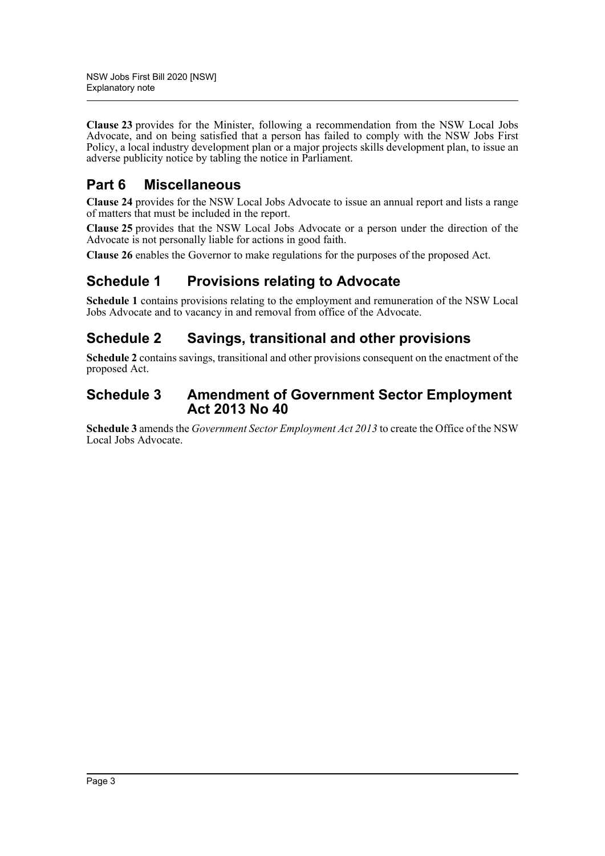**Clause 23** provides for the Minister, following a recommendation from the NSW Local Jobs Advocate, and on being satisfied that a person has failed to comply with the NSW Jobs First Policy, a local industry development plan or a major projects skills development plan, to issue an adverse publicity notice by tabling the notice in Parliament.

## **Part 6 Miscellaneous**

**Clause 24** provides for the NSW Local Jobs Advocate to issue an annual report and lists a range of matters that must be included in the report.

**Clause 25** provides that the NSW Local Jobs Advocate or a person under the direction of the Advocate is not personally liable for actions in good faith.

**Clause 26** enables the Governor to make regulations for the purposes of the proposed Act.

## **Schedule 1 Provisions relating to Advocate**

**Schedule 1** contains provisions relating to the employment and remuneration of the NSW Local Jobs Advocate and to vacancy in and removal from office of the Advocate.

## **Schedule 2 Savings, transitional and other provisions**

**Schedule 2** contains savings, transitional and other provisions consequent on the enactment of the proposed Act.

### **Schedule 3 Amendment of Government Sector Employment Act 2013 No 40**

**Schedule 3** amends the *Government Sector Employment Act 2013* to create the Office of the NSW Local Jobs Advocate.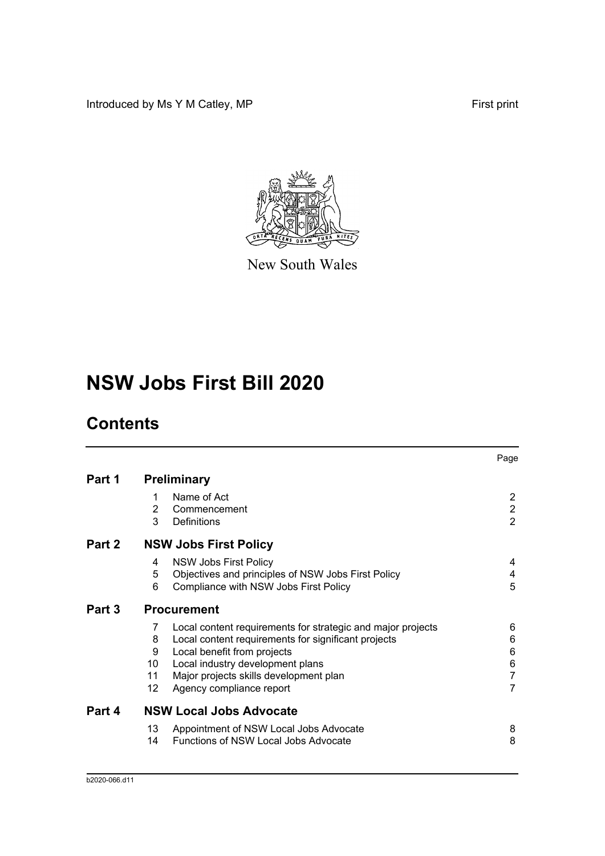Introduced by Ms Y M Catley, MP **First print** 



New South Wales

# **NSW Jobs First Bill 2020**

# **Contents**

|        |        |                                                             | Page                             |
|--------|--------|-------------------------------------------------------------|----------------------------------|
| Part 1 |        | <b>Preliminary</b>                                          |                                  |
|        | 1      | Name of Act                                                 | $\overline{2}$                   |
|        | 2<br>3 | Commencement<br>Definitions                                 | $\overline{2}$<br>$\overline{2}$ |
| Part 2 |        | <b>NSW Jobs First Policy</b>                                |                                  |
|        | 4      | <b>NSW Jobs First Policy</b>                                | 4                                |
|        | 5      | Objectives and principles of NSW Jobs First Policy          | 4                                |
|        | 6      | Compliance with NSW Jobs First Policy                       | 5                                |
| Part 3 |        | <b>Procurement</b>                                          |                                  |
|        | 7      | Local content requirements for strategic and major projects | 6                                |
|        | 8      | Local content requirements for significant projects         | 6                                |
|        | 9      | Local benefit from projects                                 | 6                                |
|        | 10     | Local industry development plans                            | 6                                |
|        | 11     | Major projects skills development plan                      | $\overline{7}$                   |
|        | 12     | Agency compliance report                                    | $\overline{7}$                   |
| Part 4 |        | <b>NSW Local Jobs Advocate</b>                              |                                  |
|        | 13     | Appointment of NSW Local Jobs Advocate                      | 8                                |
|        | 14     | <b>Functions of NSW Local Jobs Advocate</b>                 | 8                                |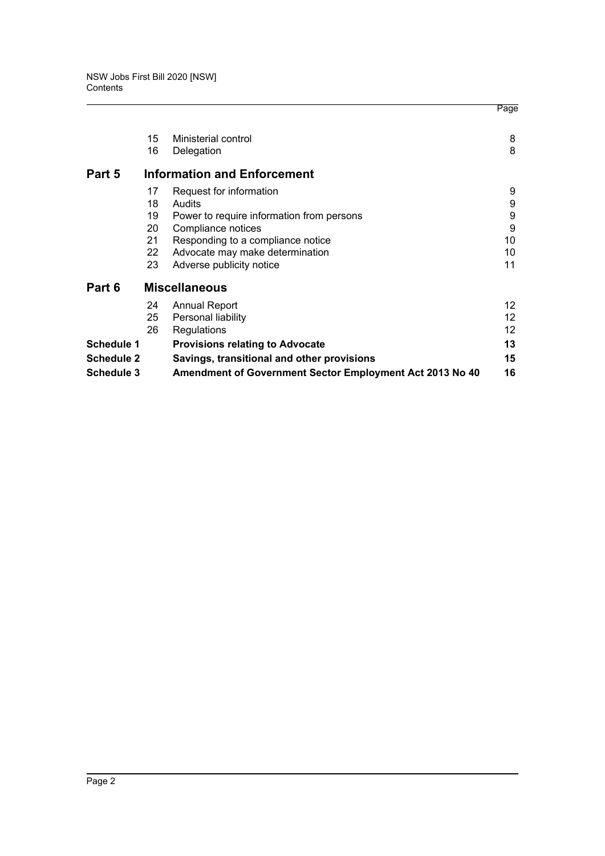|                                                                        | Page              |
|------------------------------------------------------------------------|-------------------|
| 15<br>Ministerial control                                              | 8                 |
| 16<br>Delegation                                                       | 8                 |
| Part 5<br><b>Information and Enforcement</b>                           |                   |
| Request for information<br>17                                          | 9                 |
| Audits<br>18                                                           | 9                 |
| 19<br>Power to require information from persons                        | 9                 |
| Compliance notices<br>20                                               | 9                 |
| 21<br>Responding to a compliance notice                                | 10                |
| 22<br>Advocate may make determination                                  | 10                |
| 23<br>Adverse publicity notice                                         | 11                |
| Part 6<br><b>Miscellaneous</b>                                         |                   |
| 24<br><b>Annual Report</b>                                             | $12 \overline{ }$ |
| 25<br>Personal liability                                               | 12                |
| 26<br>Regulations                                                      | 12                |
| <b>Schedule 1</b><br><b>Provisions relating to Advocate</b>            | 13                |
| Schedule 2<br>Savings, transitional and other provisions               | 15                |
| Schedule 3<br>Amendment of Government Sector Employment Act 2013 No 40 | 16                |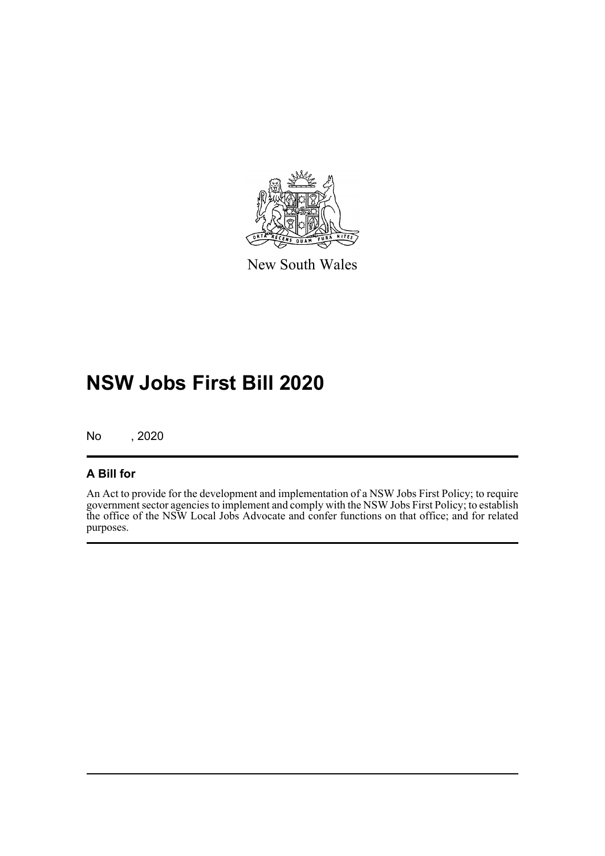

New South Wales

# **NSW Jobs First Bill 2020**

No , 2020

### **A Bill for**

An Act to provide for the development and implementation of a NSW Jobs First Policy; to require government sector agencies to implement and comply with the NSW Jobs First Policy; to establish the office of the NSW Local Jobs Advocate and confer functions on that office; and for related purposes.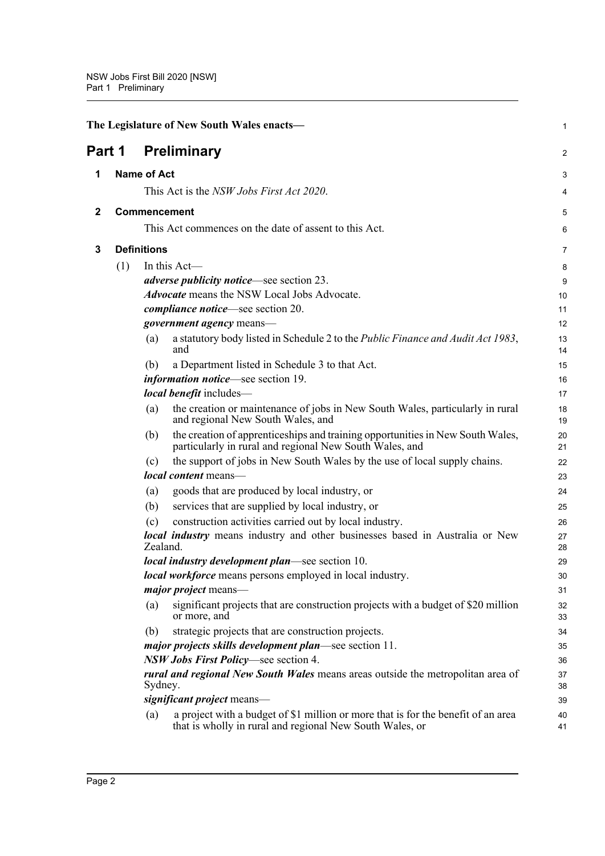<span id="page-6-3"></span><span id="page-6-2"></span><span id="page-6-1"></span><span id="page-6-0"></span>

| <b>Preliminary</b><br>Part 1<br><b>Name of Act</b><br>1<br>This Act is the NSW Jobs First Act 2020.<br>Commencement<br>$\mathbf{2}$<br>This Act commences on the date of assent to this Act.<br><b>Definitions</b><br>3<br>(1)<br>In this $Act$ —<br><i>adverse publicity notice</i> —see section 23.<br><b>Advocate</b> means the NSW Local Jobs Advocate.<br><i>compliance notice</i> —see section 20.<br><i>government agency</i> means-<br>a statutory body listed in Schedule 2 to the Public Finance and Audit Act 1983,<br>(a)<br>and<br>a Department listed in Schedule 3 to that Act.<br>(b)<br><i>information notice</i> —see section 19.<br>local benefit includes-<br>(a)<br>and regional New South Wales, and<br>(b)<br>particularly in rural and regional New South Wales, and<br>the support of jobs in New South Wales by the use of local supply chains.<br>(c)<br>local content means-<br>goods that are produced by local industry, or<br>(a)<br>services that are supplied by local industry, or<br>(b)<br>construction activities carried out by local industry.<br>(c)<br><b>local industry</b> means industry and other businesses based in Australia or New<br>Zealand.<br><i>local industry development plan—see section 10.</i><br><b>local workforce</b> means persons employed in local industry.<br><i>major project</i> means-<br>(a)<br>or more, and<br>strategic projects that are construction projects.<br>(b)<br><i>major projects skills development plan</i> —see section 11.<br>NSW Jobs First Policy—see section 4.<br><i>rural and regional New South Wales</i> means areas outside the metropolitan area of<br>Sydney. |  | The Legislature of New South Wales enacts-                                        | 1        |
|-----------------------------------------------------------------------------------------------------------------------------------------------------------------------------------------------------------------------------------------------------------------------------------------------------------------------------------------------------------------------------------------------------------------------------------------------------------------------------------------------------------------------------------------------------------------------------------------------------------------------------------------------------------------------------------------------------------------------------------------------------------------------------------------------------------------------------------------------------------------------------------------------------------------------------------------------------------------------------------------------------------------------------------------------------------------------------------------------------------------------------------------------------------------------------------------------------------------------------------------------------------------------------------------------------------------------------------------------------------------------------------------------------------------------------------------------------------------------------------------------------------------------------------------------------------------------------------------------------------------------------------------------------------------|--|-----------------------------------------------------------------------------------|----------|
|                                                                                                                                                                                                                                                                                                                                                                                                                                                                                                                                                                                                                                                                                                                                                                                                                                                                                                                                                                                                                                                                                                                                                                                                                                                                                                                                                                                                                                                                                                                                                                                                                                                                 |  |                                                                                   | 2        |
|                                                                                                                                                                                                                                                                                                                                                                                                                                                                                                                                                                                                                                                                                                                                                                                                                                                                                                                                                                                                                                                                                                                                                                                                                                                                                                                                                                                                                                                                                                                                                                                                                                                                 |  |                                                                                   | 3        |
|                                                                                                                                                                                                                                                                                                                                                                                                                                                                                                                                                                                                                                                                                                                                                                                                                                                                                                                                                                                                                                                                                                                                                                                                                                                                                                                                                                                                                                                                                                                                                                                                                                                                 |  |                                                                                   | 4        |
|                                                                                                                                                                                                                                                                                                                                                                                                                                                                                                                                                                                                                                                                                                                                                                                                                                                                                                                                                                                                                                                                                                                                                                                                                                                                                                                                                                                                                                                                                                                                                                                                                                                                 |  |                                                                                   | 5        |
|                                                                                                                                                                                                                                                                                                                                                                                                                                                                                                                                                                                                                                                                                                                                                                                                                                                                                                                                                                                                                                                                                                                                                                                                                                                                                                                                                                                                                                                                                                                                                                                                                                                                 |  |                                                                                   | 6        |
|                                                                                                                                                                                                                                                                                                                                                                                                                                                                                                                                                                                                                                                                                                                                                                                                                                                                                                                                                                                                                                                                                                                                                                                                                                                                                                                                                                                                                                                                                                                                                                                                                                                                 |  |                                                                                   | 7        |
|                                                                                                                                                                                                                                                                                                                                                                                                                                                                                                                                                                                                                                                                                                                                                                                                                                                                                                                                                                                                                                                                                                                                                                                                                                                                                                                                                                                                                                                                                                                                                                                                                                                                 |  |                                                                                   |          |
|                                                                                                                                                                                                                                                                                                                                                                                                                                                                                                                                                                                                                                                                                                                                                                                                                                                                                                                                                                                                                                                                                                                                                                                                                                                                                                                                                                                                                                                                                                                                                                                                                                                                 |  |                                                                                   | 8        |
|                                                                                                                                                                                                                                                                                                                                                                                                                                                                                                                                                                                                                                                                                                                                                                                                                                                                                                                                                                                                                                                                                                                                                                                                                                                                                                                                                                                                                                                                                                                                                                                                                                                                 |  |                                                                                   | 9        |
|                                                                                                                                                                                                                                                                                                                                                                                                                                                                                                                                                                                                                                                                                                                                                                                                                                                                                                                                                                                                                                                                                                                                                                                                                                                                                                                                                                                                                                                                                                                                                                                                                                                                 |  |                                                                                   | 10       |
|                                                                                                                                                                                                                                                                                                                                                                                                                                                                                                                                                                                                                                                                                                                                                                                                                                                                                                                                                                                                                                                                                                                                                                                                                                                                                                                                                                                                                                                                                                                                                                                                                                                                 |  |                                                                                   | 11       |
|                                                                                                                                                                                                                                                                                                                                                                                                                                                                                                                                                                                                                                                                                                                                                                                                                                                                                                                                                                                                                                                                                                                                                                                                                                                                                                                                                                                                                                                                                                                                                                                                                                                                 |  |                                                                                   | 12       |
|                                                                                                                                                                                                                                                                                                                                                                                                                                                                                                                                                                                                                                                                                                                                                                                                                                                                                                                                                                                                                                                                                                                                                                                                                                                                                                                                                                                                                                                                                                                                                                                                                                                                 |  |                                                                                   | 13<br>14 |
|                                                                                                                                                                                                                                                                                                                                                                                                                                                                                                                                                                                                                                                                                                                                                                                                                                                                                                                                                                                                                                                                                                                                                                                                                                                                                                                                                                                                                                                                                                                                                                                                                                                                 |  |                                                                                   | 15       |
|                                                                                                                                                                                                                                                                                                                                                                                                                                                                                                                                                                                                                                                                                                                                                                                                                                                                                                                                                                                                                                                                                                                                                                                                                                                                                                                                                                                                                                                                                                                                                                                                                                                                 |  |                                                                                   | 16       |
|                                                                                                                                                                                                                                                                                                                                                                                                                                                                                                                                                                                                                                                                                                                                                                                                                                                                                                                                                                                                                                                                                                                                                                                                                                                                                                                                                                                                                                                                                                                                                                                                                                                                 |  |                                                                                   | 17       |
|                                                                                                                                                                                                                                                                                                                                                                                                                                                                                                                                                                                                                                                                                                                                                                                                                                                                                                                                                                                                                                                                                                                                                                                                                                                                                                                                                                                                                                                                                                                                                                                                                                                                 |  | the creation or maintenance of jobs in New South Wales, particularly in rural     | 18<br>19 |
|                                                                                                                                                                                                                                                                                                                                                                                                                                                                                                                                                                                                                                                                                                                                                                                                                                                                                                                                                                                                                                                                                                                                                                                                                                                                                                                                                                                                                                                                                                                                                                                                                                                                 |  | the creation of apprenticeships and training opportunities in New South Wales,    | 20<br>21 |
|                                                                                                                                                                                                                                                                                                                                                                                                                                                                                                                                                                                                                                                                                                                                                                                                                                                                                                                                                                                                                                                                                                                                                                                                                                                                                                                                                                                                                                                                                                                                                                                                                                                                 |  |                                                                                   | 22       |
|                                                                                                                                                                                                                                                                                                                                                                                                                                                                                                                                                                                                                                                                                                                                                                                                                                                                                                                                                                                                                                                                                                                                                                                                                                                                                                                                                                                                                                                                                                                                                                                                                                                                 |  |                                                                                   | 23       |
|                                                                                                                                                                                                                                                                                                                                                                                                                                                                                                                                                                                                                                                                                                                                                                                                                                                                                                                                                                                                                                                                                                                                                                                                                                                                                                                                                                                                                                                                                                                                                                                                                                                                 |  |                                                                                   | 24       |
|                                                                                                                                                                                                                                                                                                                                                                                                                                                                                                                                                                                                                                                                                                                                                                                                                                                                                                                                                                                                                                                                                                                                                                                                                                                                                                                                                                                                                                                                                                                                                                                                                                                                 |  |                                                                                   | 25       |
|                                                                                                                                                                                                                                                                                                                                                                                                                                                                                                                                                                                                                                                                                                                                                                                                                                                                                                                                                                                                                                                                                                                                                                                                                                                                                                                                                                                                                                                                                                                                                                                                                                                                 |  |                                                                                   | 26       |
|                                                                                                                                                                                                                                                                                                                                                                                                                                                                                                                                                                                                                                                                                                                                                                                                                                                                                                                                                                                                                                                                                                                                                                                                                                                                                                                                                                                                                                                                                                                                                                                                                                                                 |  |                                                                                   | 27<br>28 |
|                                                                                                                                                                                                                                                                                                                                                                                                                                                                                                                                                                                                                                                                                                                                                                                                                                                                                                                                                                                                                                                                                                                                                                                                                                                                                                                                                                                                                                                                                                                                                                                                                                                                 |  |                                                                                   | 29       |
|                                                                                                                                                                                                                                                                                                                                                                                                                                                                                                                                                                                                                                                                                                                                                                                                                                                                                                                                                                                                                                                                                                                                                                                                                                                                                                                                                                                                                                                                                                                                                                                                                                                                 |  |                                                                                   | 30       |
|                                                                                                                                                                                                                                                                                                                                                                                                                                                                                                                                                                                                                                                                                                                                                                                                                                                                                                                                                                                                                                                                                                                                                                                                                                                                                                                                                                                                                                                                                                                                                                                                                                                                 |  |                                                                                   | 31       |
|                                                                                                                                                                                                                                                                                                                                                                                                                                                                                                                                                                                                                                                                                                                                                                                                                                                                                                                                                                                                                                                                                                                                                                                                                                                                                                                                                                                                                                                                                                                                                                                                                                                                 |  | significant projects that are construction projects with a budget of \$20 million | 32<br>33 |
|                                                                                                                                                                                                                                                                                                                                                                                                                                                                                                                                                                                                                                                                                                                                                                                                                                                                                                                                                                                                                                                                                                                                                                                                                                                                                                                                                                                                                                                                                                                                                                                                                                                                 |  |                                                                                   | 34       |
|                                                                                                                                                                                                                                                                                                                                                                                                                                                                                                                                                                                                                                                                                                                                                                                                                                                                                                                                                                                                                                                                                                                                                                                                                                                                                                                                                                                                                                                                                                                                                                                                                                                                 |  |                                                                                   | 35       |
|                                                                                                                                                                                                                                                                                                                                                                                                                                                                                                                                                                                                                                                                                                                                                                                                                                                                                                                                                                                                                                                                                                                                                                                                                                                                                                                                                                                                                                                                                                                                                                                                                                                                 |  |                                                                                   | 36       |
|                                                                                                                                                                                                                                                                                                                                                                                                                                                                                                                                                                                                                                                                                                                                                                                                                                                                                                                                                                                                                                                                                                                                                                                                                                                                                                                                                                                                                                                                                                                                                                                                                                                                 |  |                                                                                   | 37<br>38 |
| significant project means-                                                                                                                                                                                                                                                                                                                                                                                                                                                                                                                                                                                                                                                                                                                                                                                                                                                                                                                                                                                                                                                                                                                                                                                                                                                                                                                                                                                                                                                                                                                                                                                                                                      |  |                                                                                   | 39       |
| (a)<br>that is wholly in rural and regional New South Wales, or                                                                                                                                                                                                                                                                                                                                                                                                                                                                                                                                                                                                                                                                                                                                                                                                                                                                                                                                                                                                                                                                                                                                                                                                                                                                                                                                                                                                                                                                                                                                                                                                 |  | a project with a budget of \$1 million or more that is for the benefit of an area | 40<br>41 |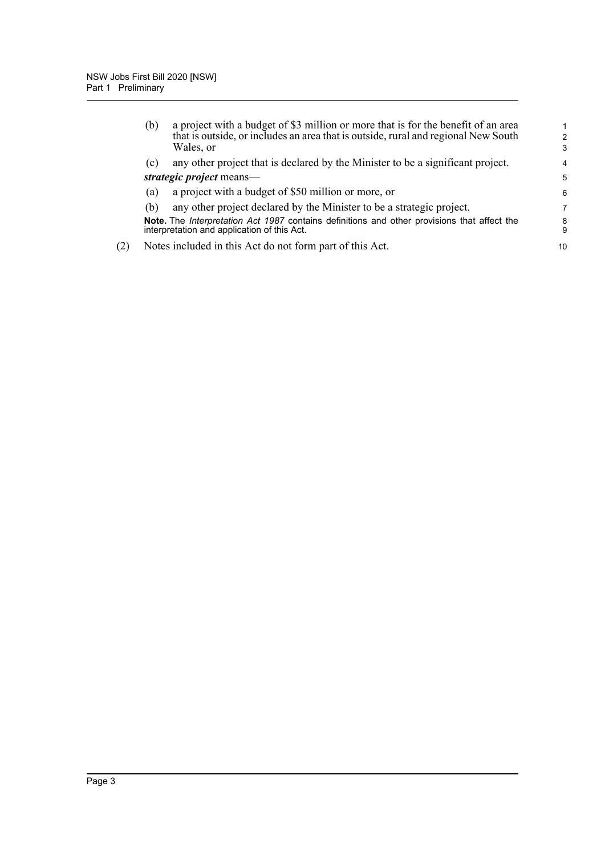|     | (b) | a project with a budget of \$3 million or more that is for the benefit of an area<br>that is outside, or includes an area that is outside, rural and regional New South<br>Wales, or | $\mathcal{P}$<br>3 |
|-----|-----|--------------------------------------------------------------------------------------------------------------------------------------------------------------------------------------|--------------------|
|     | (c) | any other project that is declared by the Minister to be a significant project.                                                                                                      | 4                  |
|     |     | strategic project means—                                                                                                                                                             | 5                  |
|     | (a) | a project with a budget of \$50 million or more, or                                                                                                                                  | 6                  |
|     | (b) | any other project declared by the Minister to be a strategic project.                                                                                                                | 7                  |
|     |     | Note. The Interpretation Act 1987 contains definitions and other provisions that affect the<br>interpretation and application of this Act.                                           | 8<br>9             |
| (2) |     | Notes included in this Act do not form part of this Act.                                                                                                                             | 10                 |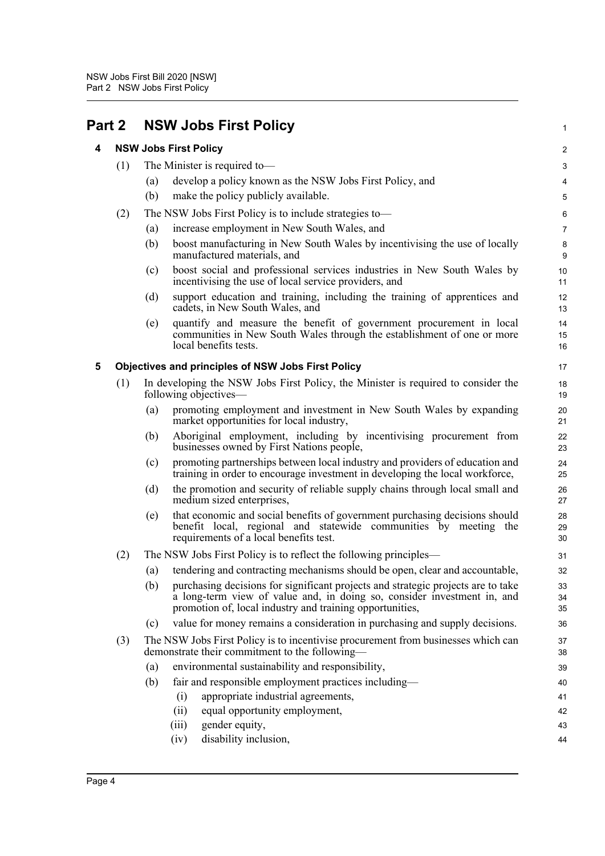<span id="page-8-2"></span><span id="page-8-1"></span><span id="page-8-0"></span>

| Part 2 |     | <b>NSW Jobs First Policy</b>                                                                                                                                                                                                   | $\mathbf{1}$     |
|--------|-----|--------------------------------------------------------------------------------------------------------------------------------------------------------------------------------------------------------------------------------|------------------|
| 4      |     | <b>NSW Jobs First Policy</b>                                                                                                                                                                                                   | $\overline{c}$   |
|        | (1) | The Minister is required to-                                                                                                                                                                                                   | 3                |
|        |     | develop a policy known as the NSW Jobs First Policy, and<br>(a)                                                                                                                                                                | 4                |
|        |     | (b)<br>make the policy publicly available.                                                                                                                                                                                     | 5                |
|        | (2) | The NSW Jobs First Policy is to include strategies to-                                                                                                                                                                         | 6                |
|        |     | increase employment in New South Wales, and<br>(a)                                                                                                                                                                             | $\boldsymbol{7}$ |
|        |     | (b)<br>boost manufacturing in New South Wales by incentivising the use of locally<br>manufactured materials, and                                                                                                               | 8<br>9           |
|        |     | boost social and professional services industries in New South Wales by<br>(c)<br>incentivising the use of local service providers, and                                                                                        | 10<br>11         |
|        |     | (d)<br>support education and training, including the training of apprentices and<br>cadets, in New South Wales, and                                                                                                            | 12<br>13         |
|        |     | quantify and measure the benefit of government procurement in local<br>(e)<br>communities in New South Wales through the establishment of one or more<br>local benefits tests.                                                 | 14<br>15<br>16   |
| 5      |     | <b>Objectives and principles of NSW Jobs First Policy</b>                                                                                                                                                                      | 17               |
|        | (1) | In developing the NSW Jobs First Policy, the Minister is required to consider the<br>following objectives—                                                                                                                     | 18<br>19         |
|        |     | promoting employment and investment in New South Wales by expanding<br>(a)<br>market opportunities for local industry,                                                                                                         | 20<br>21         |
|        |     | Aboriginal employment, including by incentivising procurement from<br>(b)<br>businesses owned by First Nations people,                                                                                                         | 22<br>23         |
|        |     | promoting partnerships between local industry and providers of education and<br>(c)<br>training in order to encourage investment in developing the local workforce,                                                            | 24<br>25         |
|        |     | the promotion and security of reliable supply chains through local small and<br>(d)<br>medium sized enterprises,                                                                                                               | 26<br>27         |
|        |     | that economic and social benefits of government purchasing decisions should<br>(e)<br>benefit local, regional and statewide communities by meeting the<br>requirements of a local benefits test.                               | 28<br>29<br>30   |
|        | (2) | The NSW Jobs First Policy is to reflect the following principles—                                                                                                                                                              | 31               |
|        |     | (a) tendering and contracting mechanisms should be open, clear and accountable,                                                                                                                                                | 32               |
|        |     | (b)<br>purchasing decisions for significant projects and strategic projects are to take<br>a long-term view of value and, in doing so, consider investment in, and<br>promotion of, local industry and training opportunities, | 33<br>34<br>35   |
|        |     | value for money remains a consideration in purchasing and supply decisions.<br>(c)                                                                                                                                             | 36               |
|        | (3) | The NSW Jobs First Policy is to incentivise procurement from businesses which can<br>demonstrate their commitment to the following—                                                                                            | 37<br>38         |
|        |     | environmental sustainability and responsibility,<br>(a)                                                                                                                                                                        | 39               |
|        |     | fair and responsible employment practices including-<br>(b)                                                                                                                                                                    | 40               |
|        |     | appropriate industrial agreements,<br>(i)                                                                                                                                                                                      | 41               |
|        |     | equal opportunity employment,<br>(ii)                                                                                                                                                                                          | 42               |
|        |     | gender equity,<br>(iii)                                                                                                                                                                                                        | 43               |
|        |     | disability inclusion,<br>(iv)                                                                                                                                                                                                  | 44               |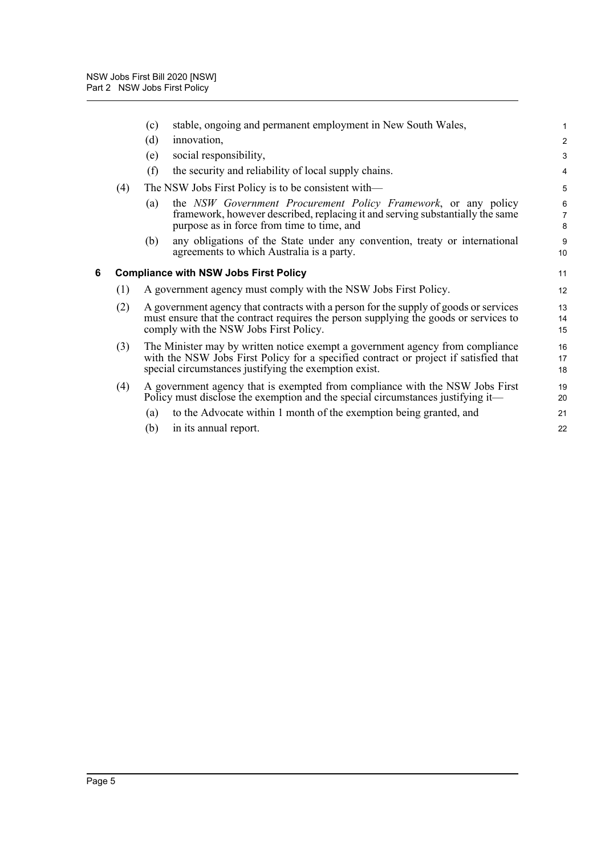<span id="page-9-0"></span>

|   |     | stable, ongoing and permanent employment in New South Wales,<br>(c)                                                                                                                                                            | $\mathbf{1}$             |
|---|-----|--------------------------------------------------------------------------------------------------------------------------------------------------------------------------------------------------------------------------------|--------------------------|
|   |     | (d)<br>innovation,                                                                                                                                                                                                             | $\overline{2}$           |
|   |     | social responsibility,<br>(e)                                                                                                                                                                                                  | $\mathbf{3}$             |
|   |     | (f)<br>the security and reliability of local supply chains.                                                                                                                                                                    | $\overline{4}$           |
|   | (4) | The NSW Jobs First Policy is to be consistent with—                                                                                                                                                                            | 5                        |
|   |     | the NSW Government Procurement Policy Framework, or any policy<br>(a)<br>framework, however described, replacing it and serving substantially the same<br>purpose as in force from time to time, and                           | 6<br>$\overline{7}$<br>8 |
|   |     | any obligations of the State under any convention, treaty or international<br>(b)<br>agreements to which Australia is a party.                                                                                                 | 9<br>10                  |
| 6 |     | <b>Compliance with NSW Jobs First Policy</b>                                                                                                                                                                                   | 11                       |
|   | (1) | A government agency must comply with the NSW Jobs First Policy.                                                                                                                                                                | 12                       |
|   | (2) | A government agency that contracts with a person for the supply of goods or services<br>must ensure that the contract requires the person supplying the goods or services to<br>comply with the NSW Jobs First Policy.         | 13<br>14<br>15           |
|   | (3) | The Minister may by written notice exempt a government agency from compliance<br>with the NSW Jobs First Policy for a specified contract or project if satisfied that<br>special circumstances justifying the exemption exist. | 16<br>17<br>18           |
|   | (4) | A government agency that is exempted from compliance with the NSW Jobs First<br>Policy must disclose the exemption and the special circumstances justifying it—                                                                | 19<br>20                 |
|   |     | to the Advocate within 1 month of the exemption being granted, and<br>(a)                                                                                                                                                      | 21                       |
|   |     | in its annual report.<br>(b)                                                                                                                                                                                                   | 22                       |
|   |     |                                                                                                                                                                                                                                |                          |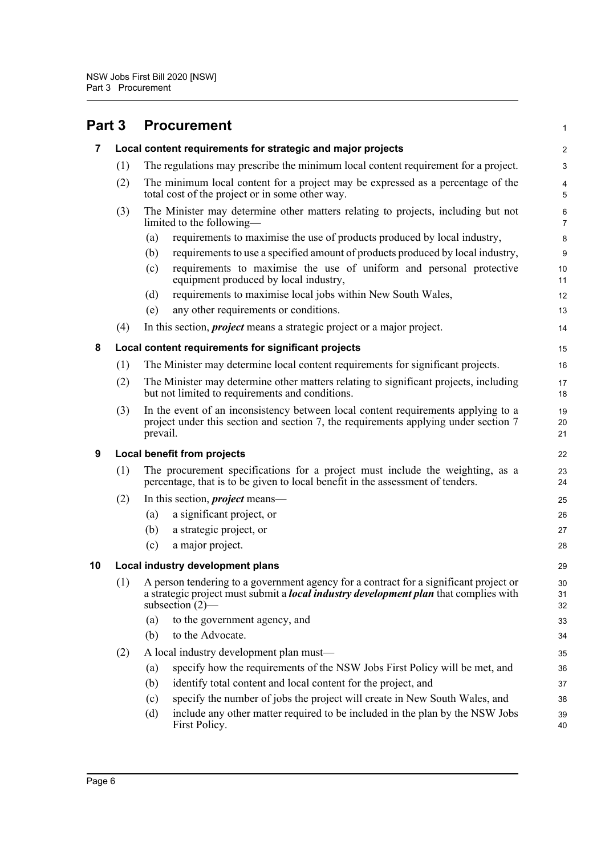<span id="page-10-4"></span><span id="page-10-3"></span><span id="page-10-2"></span><span id="page-10-1"></span><span id="page-10-0"></span>

| Part 3 |     | <b>Procurement</b>                                                                                                                                                                                         | $\mathbf{1}$        |
|--------|-----|------------------------------------------------------------------------------------------------------------------------------------------------------------------------------------------------------------|---------------------|
| 7      |     | Local content requirements for strategic and major projects                                                                                                                                                | 2                   |
|        | (1) | The regulations may prescribe the minimum local content requirement for a project.                                                                                                                         | $\mathbf{3}$        |
|        | (2) | The minimum local content for a project may be expressed as a percentage of the<br>total cost of the project or in some other way.                                                                         | 4<br>5              |
|        | (3) | The Minister may determine other matters relating to projects, including but not<br>limited to the following-                                                                                              | 6<br>$\overline{7}$ |
|        |     | requirements to maximise the use of products produced by local industry,<br>(a)                                                                                                                            | 8                   |
|        |     | requirements to use a specified amount of products produced by local industry,<br>(b)                                                                                                                      | $\boldsymbol{9}$    |
|        |     | requirements to maximise the use of uniform and personal protective<br>(c)<br>equipment produced by local industry,                                                                                        | 10<br>11            |
|        |     | requirements to maximise local jobs within New South Wales,<br>(d)                                                                                                                                         | 12                  |
|        |     | any other requirements or conditions.<br>(e)                                                                                                                                                               | 13                  |
|        | (4) | In this section, <i>project</i> means a strategic project or a major project.                                                                                                                              | 14                  |
| 8      |     | Local content requirements for significant projects                                                                                                                                                        | 15                  |
|        | (1) | The Minister may determine local content requirements for significant projects.                                                                                                                            | 16                  |
|        | (2) | The Minister may determine other matters relating to significant projects, including<br>but not limited to requirements and conditions.                                                                    | 17<br>18            |
|        | (3) | In the event of an inconsistency between local content requirements applying to a<br>project under this section and section 7, the requirements applying under section 7<br>prevail.                       | 19<br>20<br>21      |
| 9      |     | Local benefit from projects                                                                                                                                                                                | 22                  |
|        | (1) | The procurement specifications for a project must include the weighting, as a<br>percentage, that is to be given to local benefit in the assessment of tenders.                                            | 23<br>24            |
|        | (2) | In this section, <i>project</i> means—                                                                                                                                                                     | 25                  |
|        |     | a significant project, or<br>(a)                                                                                                                                                                           | 26                  |
|        |     | a strategic project, or<br>(b)                                                                                                                                                                             | 27                  |
|        |     | (c)<br>a major project.                                                                                                                                                                                    | 28                  |
| 10     |     | Local industry development plans                                                                                                                                                                           | 29                  |
|        | (1) | A person tendering to a government agency for a contract for a significant project or<br>a strategic project must submit a <i>local industry development plan</i> that complies with<br>subsection $(2)$ — | 30<br>31<br>32      |
|        |     | to the government agency, and<br>(a)                                                                                                                                                                       | 33                  |
|        |     | to the Advocate.<br>(b)                                                                                                                                                                                    | 34                  |
|        | (2) | A local industry development plan must-                                                                                                                                                                    | 35                  |
|        |     | specify how the requirements of the NSW Jobs First Policy will be met, and<br>(a)                                                                                                                          | 36                  |
|        |     | identify total content and local content for the project, and<br>(b)                                                                                                                                       | 37                  |
|        |     | specify the number of jobs the project will create in New South Wales, and<br>(c)                                                                                                                          | 38                  |
|        |     | include any other matter required to be included in the plan by the NSW Jobs<br>(d)<br>First Policy.                                                                                                       | 39<br>40            |
|        |     |                                                                                                                                                                                                            |                     |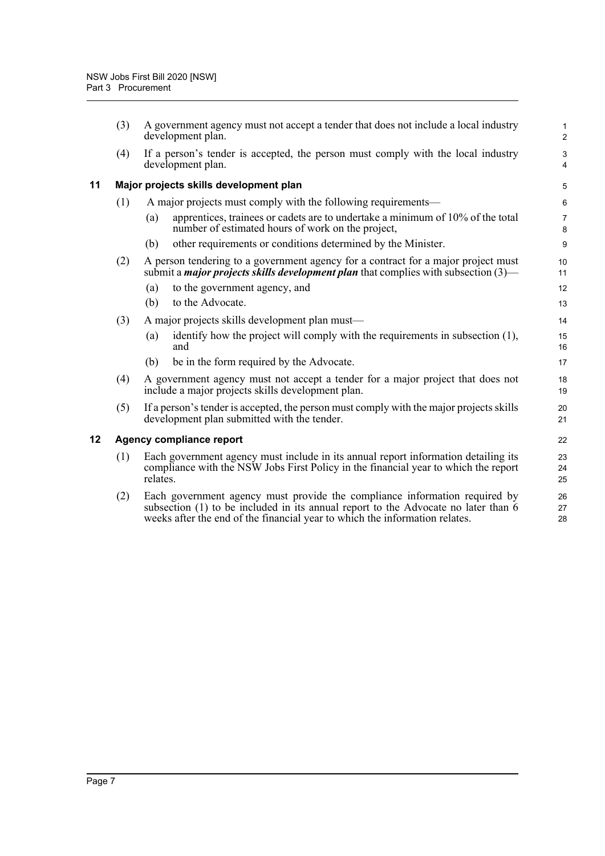<span id="page-11-1"></span><span id="page-11-0"></span>

|    | (3) | A government agency must not accept a tender that does not include a local industry<br>development plan.                                                                                                                                        | $\mathbf{1}$<br>$\overline{c}$ |
|----|-----|-------------------------------------------------------------------------------------------------------------------------------------------------------------------------------------------------------------------------------------------------|--------------------------------|
|    | (4) | If a person's tender is accepted, the person must comply with the local industry<br>development plan.                                                                                                                                           | 3<br>$\overline{\mathbf{4}}$   |
| 11 |     | Major projects skills development plan                                                                                                                                                                                                          | 5                              |
|    | (1) | A major projects must comply with the following requirements—                                                                                                                                                                                   | 6                              |
|    |     | apprentices, trainees or cadets are to undertake a minimum of 10% of the total<br>(a)<br>number of estimated hours of work on the project,                                                                                                      | $\overline{7}$<br>8            |
|    |     | other requirements or conditions determined by the Minister.<br>(b)                                                                                                                                                                             | 9                              |
|    | (2) | A person tendering to a government agency for a contract for a major project must<br>submit a <i>major projects skills development plan</i> that complies with subsection $(3)$ —                                                               | 10<br>11                       |
|    |     | to the government agency, and<br>(a)                                                                                                                                                                                                            | 12                             |
|    |     | (b)<br>to the Advocate.                                                                                                                                                                                                                         | 13                             |
|    | (3) | A major projects skills development plan must—                                                                                                                                                                                                  | 14                             |
|    |     | identify how the project will comply with the requirements in subsection (1),<br>(a)<br>and                                                                                                                                                     | 15<br>16                       |
|    |     | be in the form required by the Advocate.<br>(b)                                                                                                                                                                                                 | 17                             |
|    | (4) | A government agency must not accept a tender for a major project that does not<br>include a major projects skills development plan.                                                                                                             | 18<br>19                       |
|    | (5) | If a person's tender is accepted, the person must comply with the major projects skills<br>development plan submitted with the tender.                                                                                                          | 20<br>21                       |
| 12 |     | Agency compliance report                                                                                                                                                                                                                        | 22                             |
|    | (1) | Each government agency must include in its annual report information detailing its<br>compliance with the NSW Jobs First Policy in the financial year to which the report<br>relates.                                                           | 23<br>24<br>25                 |
|    | (2) | Each government agency must provide the compliance information required by<br>subsection (1) to be included in its annual report to the Advocate no later than 6<br>weeks after the end of the financial year to which the information relates. | 26<br>27<br>28                 |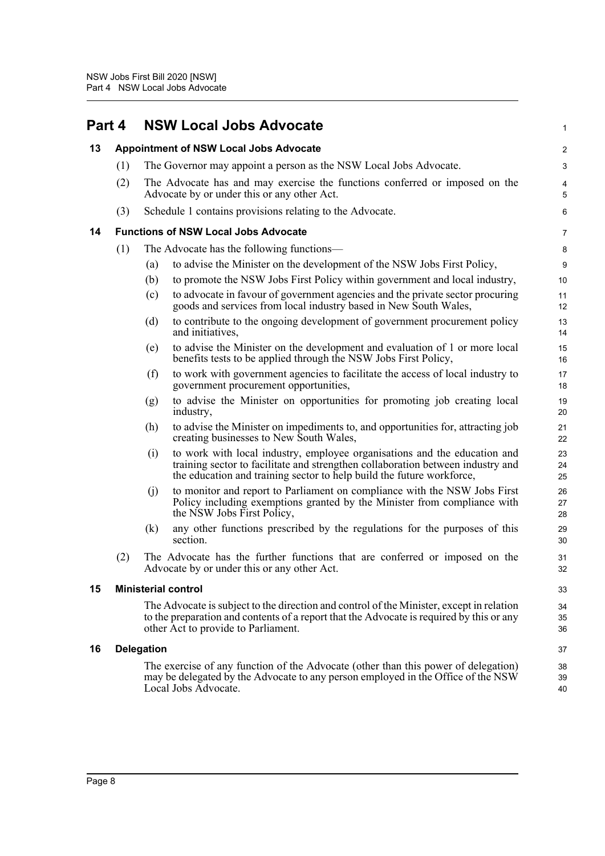<span id="page-12-4"></span><span id="page-12-3"></span><span id="page-12-2"></span><span id="page-12-1"></span><span id="page-12-0"></span>

| Part 4 |     |                            | <b>NSW Local Jobs Advocate</b>                                                                                                                                                                                                        | 1              |
|--------|-----|----------------------------|---------------------------------------------------------------------------------------------------------------------------------------------------------------------------------------------------------------------------------------|----------------|
| 13     |     |                            | <b>Appointment of NSW Local Jobs Advocate</b>                                                                                                                                                                                         | $\overline{c}$ |
|        | (1) |                            | The Governor may appoint a person as the NSW Local Jobs Advocate.                                                                                                                                                                     | 3              |
|        | (2) |                            | The Advocate has and may exercise the functions conferred or imposed on the<br>Advocate by or under this or any other Act.                                                                                                            | 4<br>5         |
|        | (3) |                            | Schedule 1 contains provisions relating to the Advocate.                                                                                                                                                                              | 6              |
| 14     |     |                            | <b>Functions of NSW Local Jobs Advocate</b>                                                                                                                                                                                           | 7              |
|        | (1) |                            | The Advocate has the following functions—                                                                                                                                                                                             | 8              |
|        |     | (a)                        | to advise the Minister on the development of the NSW Jobs First Policy,                                                                                                                                                               | 9              |
|        |     | (b)                        | to promote the NSW Jobs First Policy within government and local industry,                                                                                                                                                            | 10             |
|        |     | (c)                        | to advocate in favour of government agencies and the private sector procuring<br>goods and services from local industry based in New South Wales,                                                                                     | 11<br>12       |
|        |     | (d)                        | to contribute to the ongoing development of government procurement policy<br>and initiatives,                                                                                                                                         | 13<br>14       |
|        |     | (e)                        | to advise the Minister on the development and evaluation of 1 or more local<br>benefits tests to be applied through the NSW Jobs First Policy,                                                                                        | 15<br>16       |
|        |     | (f)                        | to work with government agencies to facilitate the access of local industry to<br>government procurement opportunities,                                                                                                               | 17<br>18       |
|        |     | (g)                        | to advise the Minister on opportunities for promoting job creating local<br>industry,                                                                                                                                                 | 19<br>20       |
|        |     | (h)                        | to advise the Minister on impediments to, and opportunities for, attracting job<br>creating businesses to New South Wales,                                                                                                            | 21<br>22       |
|        |     | (i)                        | to work with local industry, employee organisations and the education and<br>training sector to facilitate and strengthen collaboration between industry and<br>the education and training sector to help build the future workforce, | 23<br>24<br>25 |
|        |     | (j)                        | to monitor and report to Parliament on compliance with the NSW Jobs First<br>Policy including exemptions granted by the Minister from compliance with<br>the NSW Jobs First Policy,                                                   | 26<br>27<br>28 |
|        |     | (k)                        | any other functions prescribed by the regulations for the purposes of this<br>section.                                                                                                                                                | 29<br>30       |
|        | (2) |                            | The Advocate has the further functions that are conferred or imposed on the<br>Advocate by or under this or any other Act.                                                                                                            | 31<br>32       |
| 15     |     | <b>Ministerial control</b> |                                                                                                                                                                                                                                       | 33             |
|        |     |                            | The Advocate is subject to the direction and control of the Minister, except in relation<br>to the preparation and contents of a report that the Advocate is required by this or any<br>other Act to provide to Parliament.           | 34<br>35<br>36 |
| 16     |     | <b>Delegation</b>          |                                                                                                                                                                                                                                       | 37             |
|        |     |                            | The exercise of any function of the Advocate (other than this power of delegation)<br>may be delegated by the Advocate to any person employed in the Office of the NSW<br>Local Jobs Advocate.                                        | 38<br>39<br>40 |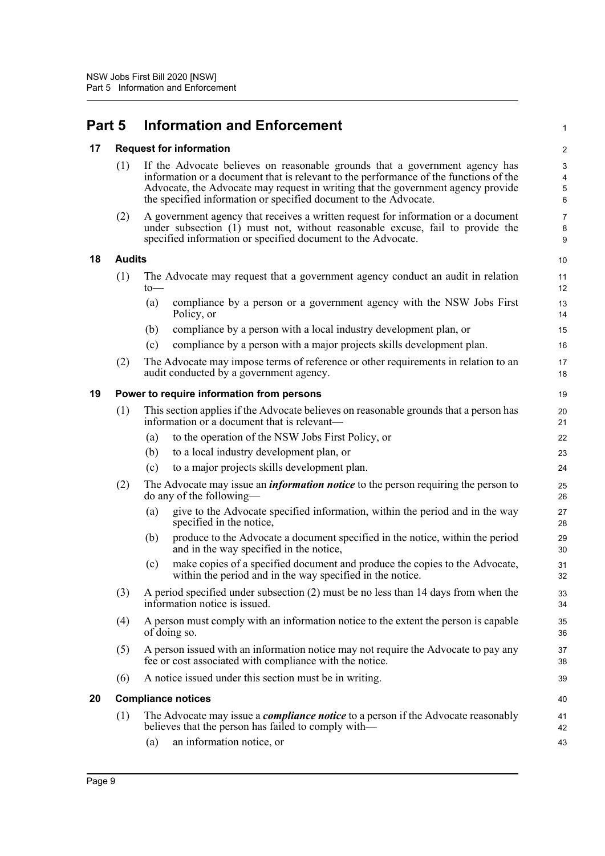## <span id="page-13-0"></span>**Part 5 Information and Enforcement**

#### <span id="page-13-1"></span>**17 Request for information**

| (1) If the Advocate believes on reasonable grounds that a government agency has       |
|---------------------------------------------------------------------------------------|
| information or a document that is relevant to the performance of the functions of the |
| Advocate, the Advocate may request in writing that the government agency provide      |
| the specified information or specified document to the Advocate.                      |

1

10

(2) A government agency that receives a written request for information or a document under subsection (1) must not, without reasonable excuse, fail to provide the specified information or specified document to the Advocate.

#### <span id="page-13-2"></span>**18 Audits**

| $10$ — | (1) The Advocate may request that a government agency conduct an audit in relation  | 11       |
|--------|-------------------------------------------------------------------------------------|----------|
| (a)    | compliance by a person or a government agency with the NSW Jobs First<br>Policy, or | 13<br>14 |

- (b) compliance by a person with a local industry development plan, or
- (c) compliance by a person with a major projects skills development plan.
- (2) The Advocate may impose terms of reference or other requirements in relation to an audit conducted by a government agency.

#### <span id="page-13-3"></span>**19 Power to require information from persons**

|  | (1) This section applies if the Advocate believes on reasonable grounds that a person has<br>information or a document that is relevant— |
|--|------------------------------------------------------------------------------------------------------------------------------------------|
|--|------------------------------------------------------------------------------------------------------------------------------------------|

- (a) to the operation of the NSW Jobs First Policy, or
- (b) to a local industry development plan, or
- (c) to a major projects skills development plan.
- (2) The Advocate may issue an *information notice* to the person requiring the person to do any of the following—
	- (a) give to the Advocate specified information, within the period and in the way specified in the notice,
	- (b) produce to the Advocate a document specified in the notice, within the period and in the way specified in the notice,
	- (c) make copies of a specified document and produce the copies to the Advocate, within the period and in the way specified in the notice.
- (3) A period specified under subsection (2) must be no less than 14 days from when the information notice is issued.
- (4) A person must comply with an information notice to the extent the person is capable of doing so.
- (5) A person issued with an information notice may not require the Advocate to pay any fee or cost associated with compliance with the notice.
- (6) A notice issued under this section must be in writing.

### <span id="page-13-4"></span>**20 Compliance notices** (1) The Advocate may issue a *compliance notice* to a person if the Advocate reasonably believes that the person has failed to comply with—

(a) an information notice, or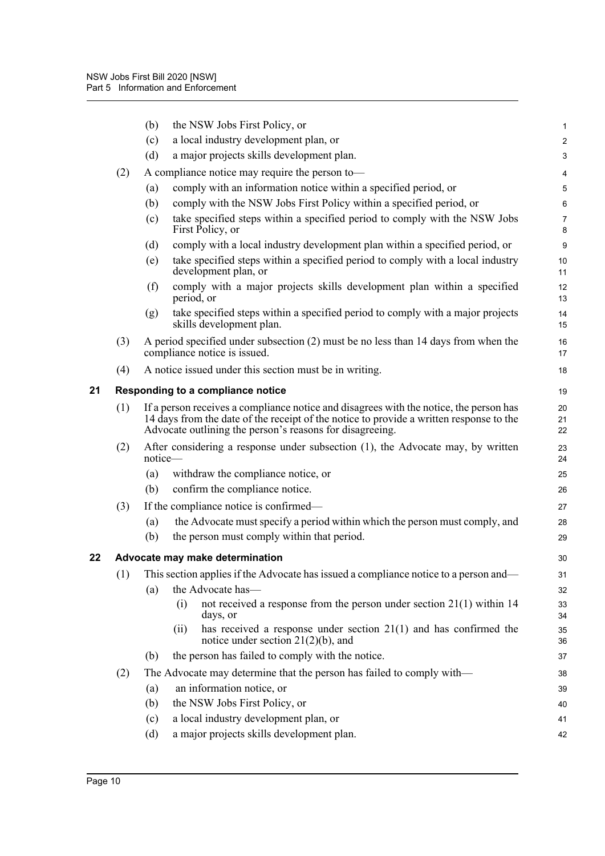<span id="page-14-1"></span><span id="page-14-0"></span>

|    |                                 | (b)                                                                                                                                                                                                                                                             | the NSW Jobs First Policy, or                                                                                        | 1                       |  |
|----|---------------------------------|-----------------------------------------------------------------------------------------------------------------------------------------------------------------------------------------------------------------------------------------------------------------|----------------------------------------------------------------------------------------------------------------------|-------------------------|--|
|    |                                 | (c)                                                                                                                                                                                                                                                             | a local industry development plan, or                                                                                | $\overline{\mathbf{c}}$ |  |
|    |                                 | (d)                                                                                                                                                                                                                                                             | a major projects skills development plan.                                                                            | 3                       |  |
|    | (2)                             |                                                                                                                                                                                                                                                                 | A compliance notice may require the person to-                                                                       | 4                       |  |
|    |                                 | (a)                                                                                                                                                                                                                                                             | comply with an information notice within a specified period, or                                                      | 5                       |  |
|    |                                 | (b)                                                                                                                                                                                                                                                             | comply with the NSW Jobs First Policy within a specified period, or                                                  | 6                       |  |
|    |                                 | (c)                                                                                                                                                                                                                                                             | take specified steps within a specified period to comply with the NSW Jobs<br>First Policy, or                       | 7<br>8                  |  |
|    |                                 | (d)                                                                                                                                                                                                                                                             | comply with a local industry development plan within a specified period, or                                          | 9                       |  |
|    |                                 | (e)                                                                                                                                                                                                                                                             | take specified steps within a specified period to comply with a local industry<br>development plan, or               | 10<br>11                |  |
|    |                                 | (f)                                                                                                                                                                                                                                                             | comply with a major projects skills development plan within a specified<br>period, or                                | 12<br>13                |  |
|    |                                 | (g)                                                                                                                                                                                                                                                             | take specified steps within a specified period to comply with a major projects<br>skills development plan.           | 14<br>15                |  |
|    | (3)                             |                                                                                                                                                                                                                                                                 | A period specified under subsection (2) must be no less than 14 days from when the<br>compliance notice is issued.   | 16<br>17                |  |
|    | (4)                             | A notice issued under this section must be in writing.                                                                                                                                                                                                          |                                                                                                                      | 18                      |  |
| 21 |                                 |                                                                                                                                                                                                                                                                 | Responding to a compliance notice                                                                                    | 19                      |  |
|    | (1)                             | If a person receives a compliance notice and disagrees with the notice, the person has<br>20<br>14 days from the date of the receipt of the notice to provide a written response to the<br>21<br>Advocate outlining the person's reasons for disagreeing.<br>22 |                                                                                                                      |                         |  |
|    | (2)                             | notice-                                                                                                                                                                                                                                                         | After considering a response under subsection $(1)$ , the Advocate may, by written                                   | 23<br>24                |  |
|    |                                 | (a)                                                                                                                                                                                                                                                             | withdraw the compliance notice, or                                                                                   | 25                      |  |
|    |                                 | (b)                                                                                                                                                                                                                                                             | confirm the compliance notice.                                                                                       | 26                      |  |
|    | (3)                             |                                                                                                                                                                                                                                                                 | If the compliance notice is confirmed—                                                                               | 27                      |  |
|    |                                 | (a)                                                                                                                                                                                                                                                             | the Advocate must specify a period within which the person must comply, and                                          | 28                      |  |
|    |                                 | (b)                                                                                                                                                                                                                                                             | the person must comply within that period.                                                                           | 29                      |  |
| 22 | Advocate may make determination |                                                                                                                                                                                                                                                                 |                                                                                                                      |                         |  |
|    |                                 |                                                                                                                                                                                                                                                                 | (1) This section applies if the Advocate has issued a compliance notice to a person and—                             | 31                      |  |
|    |                                 | (a)                                                                                                                                                                                                                                                             | the Advocate has-                                                                                                    | 32                      |  |
|    |                                 |                                                                                                                                                                                                                                                                 | not received a response from the person under section $21(1)$ within 14<br>(i)<br>days, or                           | 33<br>34                |  |
|    |                                 |                                                                                                                                                                                                                                                                 | has received a response under section $21(1)$ and has confirmed the<br>(ii)<br>notice under section $21(2)(b)$ , and | 35<br>36                |  |
|    |                                 | (b)                                                                                                                                                                                                                                                             | the person has failed to comply with the notice.                                                                     | 37                      |  |
|    | (2)                             |                                                                                                                                                                                                                                                                 | The Advocate may determine that the person has failed to comply with—                                                | 38                      |  |
|    |                                 | (a)                                                                                                                                                                                                                                                             | an information notice, or                                                                                            | 39                      |  |
|    |                                 | (b)                                                                                                                                                                                                                                                             | the NSW Jobs First Policy, or                                                                                        | 40                      |  |
|    |                                 | (c)                                                                                                                                                                                                                                                             | a local industry development plan, or                                                                                | 41                      |  |
|    |                                 | (d)                                                                                                                                                                                                                                                             | a major projects skills development plan.                                                                            | 42                      |  |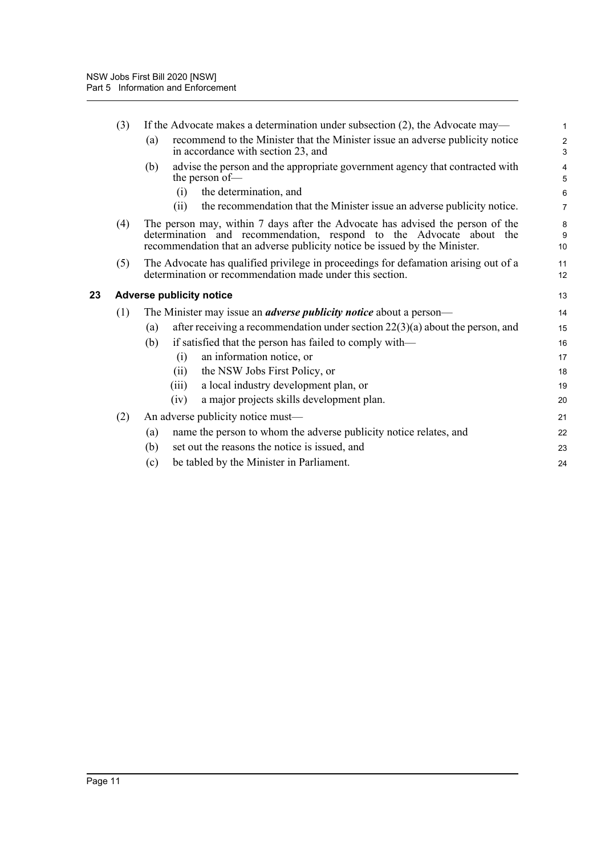<span id="page-15-0"></span>

|    | (3) | If the Advocate makes a determination under subsection (2), the Advocate may—                                                                                                                                                       | $\mathbf{1}$                   |  |  |  |
|----|-----|-------------------------------------------------------------------------------------------------------------------------------------------------------------------------------------------------------------------------------------|--------------------------------|--|--|--|
|    |     | recommend to the Minister that the Minister issue an adverse publicity notice<br>(a)<br>in accordance with section 23, and                                                                                                          | $\overline{c}$<br>$\mathbf{3}$ |  |  |  |
|    |     | advise the person and the appropriate government agency that contracted with<br>(b)<br>the person of-                                                                                                                               | 4<br>5                         |  |  |  |
|    |     | the determination, and<br>(i)                                                                                                                                                                                                       | 6                              |  |  |  |
|    |     | the recommendation that the Minister issue an adverse publicity notice.<br>(ii)                                                                                                                                                     | $\overline{7}$                 |  |  |  |
|    | (4) | The person may, within 7 days after the Advocate has advised the person of the<br>determination and recommendation, respond to the Advocate about the<br>recommendation that an adverse publicity notice be issued by the Minister. |                                |  |  |  |
|    | (5) | The Advocate has qualified privilege in proceedings for defamation arising out of a<br>determination or recommendation made under this section.                                                                                     | 11<br>12                       |  |  |  |
| 23 |     | <b>Adverse publicity notice</b>                                                                                                                                                                                                     |                                |  |  |  |
|    | (1) | The Minister may issue an <i>adverse publicity notice</i> about a person—                                                                                                                                                           |                                |  |  |  |
|    |     | after receiving a recommendation under section $22(3)(a)$ about the person, and<br>(a)                                                                                                                                              | 15                             |  |  |  |
|    |     | if satisfied that the person has failed to comply with—<br>(b)                                                                                                                                                                      | 16                             |  |  |  |
|    |     | an information notice, or<br>(i)                                                                                                                                                                                                    | 17                             |  |  |  |
|    |     | the NSW Jobs First Policy, or<br>(ii)                                                                                                                                                                                               | 18                             |  |  |  |
|    |     | a local industry development plan, or<br>(iii)                                                                                                                                                                                      | 19                             |  |  |  |
|    |     | a major projects skills development plan.<br>(iv)                                                                                                                                                                                   | 20                             |  |  |  |
|    | (2) | An adverse publicity notice must-                                                                                                                                                                                                   |                                |  |  |  |
|    |     | name the person to whom the adverse publicity notice relates, and<br>(a)                                                                                                                                                            | 22                             |  |  |  |
|    |     | (b)<br>set out the reasons the notice is issued, and                                                                                                                                                                                | 23                             |  |  |  |
|    |     | be tabled by the Minister in Parliament.<br>(c)                                                                                                                                                                                     | 24                             |  |  |  |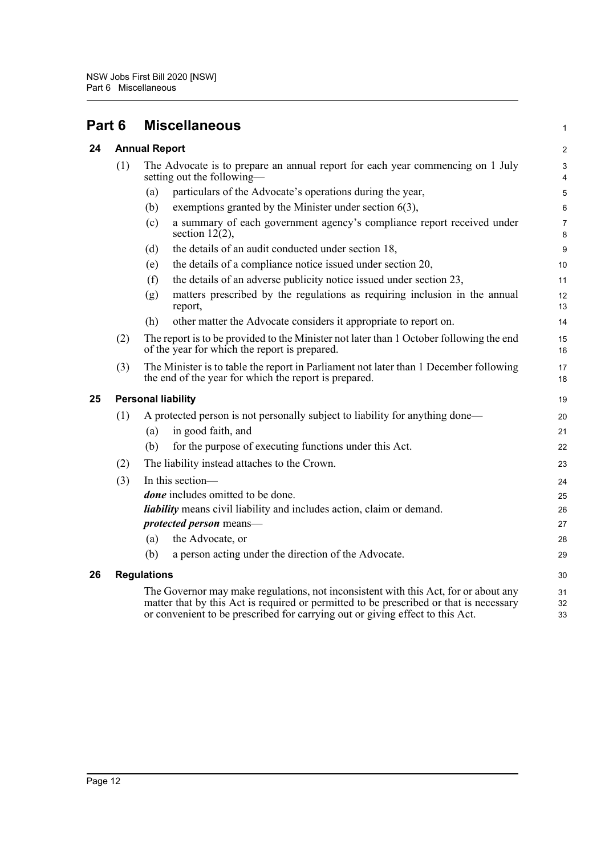<span id="page-16-3"></span><span id="page-16-2"></span><span id="page-16-1"></span><span id="page-16-0"></span>

| Part 6 |                           | <b>Miscellaneous</b>                                                                                                                                                                                                                                           |                |  |  |
|--------|---------------------------|----------------------------------------------------------------------------------------------------------------------------------------------------------------------------------------------------------------------------------------------------------------|----------------|--|--|
| 24     | <b>Annual Report</b>      |                                                                                                                                                                                                                                                                | $\overline{c}$ |  |  |
|        | (1)                       | The Advocate is to prepare an annual report for each year commencing on 1 July<br>setting out the following—                                                                                                                                                   |                |  |  |
|        |                           | particulars of the Advocate's operations during the year,<br>(a)                                                                                                                                                                                               | 5              |  |  |
|        |                           | exemptions granted by the Minister under section $6(3)$ ,<br>(b)                                                                                                                                                                                               | 6              |  |  |
|        |                           | a summary of each government agency's compliance report received under<br>(c)<br>section $12(2)$ ,                                                                                                                                                             | 7<br>8         |  |  |
|        |                           | the details of an audit conducted under section 18,<br>(d)                                                                                                                                                                                                     | 9              |  |  |
|        |                           | the details of a compliance notice issued under section 20,<br>(e)                                                                                                                                                                                             | 10             |  |  |
|        |                           | the details of an adverse publicity notice issued under section 23,<br>(f)                                                                                                                                                                                     | 11             |  |  |
|        |                           | matters prescribed by the regulations as requiring inclusion in the annual<br>(g)<br>report,                                                                                                                                                                   | 12<br>13       |  |  |
|        |                           | other matter the Advocate considers it appropriate to report on.<br>(h)                                                                                                                                                                                        | 14             |  |  |
|        | (2)                       | The report is to be provided to the Minister not later than 1 October following the end<br>of the year for which the report is prepared.                                                                                                                       |                |  |  |
|        | (3)                       | The Minister is to table the report in Parliament not later than 1 December following<br>the end of the year for which the report is prepared.                                                                                                                 |                |  |  |
| 25     | <b>Personal liability</b> |                                                                                                                                                                                                                                                                |                |  |  |
|        | (1)                       | A protected person is not personally subject to liability for anything done—                                                                                                                                                                                   | 20             |  |  |
|        |                           | in good faith, and<br>(a)                                                                                                                                                                                                                                      | 21             |  |  |
|        |                           | (b)<br>for the purpose of executing functions under this Act.                                                                                                                                                                                                  | 22             |  |  |
|        | (2)                       | The liability instead attaches to the Crown.                                                                                                                                                                                                                   |                |  |  |
|        | (3)                       | In this section-                                                                                                                                                                                                                                               |                |  |  |
|        |                           | <i>done</i> includes omitted to be done.                                                                                                                                                                                                                       | 25             |  |  |
|        |                           | liability means civil liability and includes action, claim or demand.                                                                                                                                                                                          | 26             |  |  |
|        |                           | protected person means-                                                                                                                                                                                                                                        | 27             |  |  |
|        |                           | the Advocate, or<br>(a)                                                                                                                                                                                                                                        | 28             |  |  |
|        |                           | a person acting under the direction of the Advocate.<br>(b)                                                                                                                                                                                                    | 29             |  |  |
| 26     | <b>Regulations</b>        |                                                                                                                                                                                                                                                                |                |  |  |
|        |                           | The Governor may make regulations, not inconsistent with this Act, for or about any<br>matter that by this Act is required or permitted to be prescribed or that is necessary<br>or convenient to be prescribed for carrying out or giving effect to this Act. | 31<br>32<br>33 |  |  |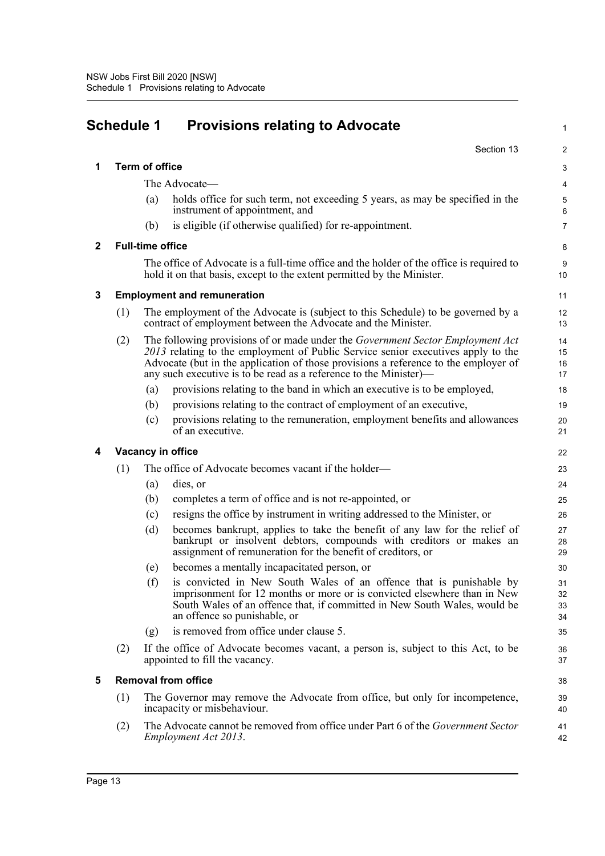<span id="page-17-0"></span>

| <b>Schedule 1</b> |                                                                                                                    |                                                                                                                                                   | <b>Provisions relating to Advocate</b>                                                                                                                                                                                                                                                                                                |                      |  |
|-------------------|--------------------------------------------------------------------------------------------------------------------|---------------------------------------------------------------------------------------------------------------------------------------------------|---------------------------------------------------------------------------------------------------------------------------------------------------------------------------------------------------------------------------------------------------------------------------------------------------------------------------------------|----------------------|--|
|                   |                                                                                                                    |                                                                                                                                                   | Section 13                                                                                                                                                                                                                                                                                                                            | 2                    |  |
| 1                 |                                                                                                                    | <b>Term of office</b>                                                                                                                             |                                                                                                                                                                                                                                                                                                                                       | 3                    |  |
|                   |                                                                                                                    | The Advocate—                                                                                                                                     | $\overline{4}$                                                                                                                                                                                                                                                                                                                        |                      |  |
|                   |                                                                                                                    | (a)                                                                                                                                               | holds office for such term, not exceeding 5 years, as may be specified in the<br>instrument of appointment, and                                                                                                                                                                                                                       | 5<br>6               |  |
|                   |                                                                                                                    | (b)                                                                                                                                               | is eligible (if otherwise qualified) for re-appointment.                                                                                                                                                                                                                                                                              | $\overline{7}$       |  |
| $\mathbf{2}$      |                                                                                                                    | <b>Full-time office</b>                                                                                                                           |                                                                                                                                                                                                                                                                                                                                       | 8                    |  |
|                   |                                                                                                                    |                                                                                                                                                   | The office of Advocate is a full-time office and the holder of the office is required to<br>hold it on that basis, except to the extent permitted by the Minister.                                                                                                                                                                    | 9<br>10              |  |
| 3                 | <b>Employment and remuneration</b>                                                                                 |                                                                                                                                                   |                                                                                                                                                                                                                                                                                                                                       |                      |  |
|                   | (1)                                                                                                                | The employment of the Advocate is (subject to this Schedule) to be governed by a<br>contract of employment between the Advocate and the Minister. |                                                                                                                                                                                                                                                                                                                                       | 12<br>13             |  |
|                   | (2)                                                                                                                |                                                                                                                                                   | The following provisions of or made under the <i>Government Sector Employment Act</i><br>2013 relating to the employment of Public Service senior executives apply to the<br>Advocate (but in the application of those provisions a reference to the employer of<br>any such executive is to be read as a reference to the Minister)— | 14<br>15<br>16<br>17 |  |
|                   |                                                                                                                    | (a)                                                                                                                                               | provisions relating to the band in which an executive is to be employed,                                                                                                                                                                                                                                                              | 18                   |  |
|                   |                                                                                                                    | (b)                                                                                                                                               | provisions relating to the contract of employment of an executive,                                                                                                                                                                                                                                                                    | 19                   |  |
|                   |                                                                                                                    | (c)                                                                                                                                               | provisions relating to the remuneration, employment benefits and allowances<br>of an executive.                                                                                                                                                                                                                                       | 20<br>21             |  |
| 4                 | Vacancy in office                                                                                                  |                                                                                                                                                   |                                                                                                                                                                                                                                                                                                                                       |                      |  |
|                   | (1)                                                                                                                |                                                                                                                                                   | The office of Advocate becomes vacant if the holder—                                                                                                                                                                                                                                                                                  | 23                   |  |
|                   |                                                                                                                    | (a)                                                                                                                                               | dies, or                                                                                                                                                                                                                                                                                                                              | 24                   |  |
|                   |                                                                                                                    | (b)                                                                                                                                               | completes a term of office and is not re-appointed, or                                                                                                                                                                                                                                                                                | 25                   |  |
|                   |                                                                                                                    | (c)                                                                                                                                               | resigns the office by instrument in writing addressed to the Minister, or                                                                                                                                                                                                                                                             | 26                   |  |
|                   |                                                                                                                    | (d)                                                                                                                                               | becomes bankrupt, applies to take the benefit of any law for the relief of<br>bankrupt or insolvent debtors, compounds with creditors or makes an<br>assignment of remuneration for the benefit of creditors, or                                                                                                                      | 27<br>28<br>29       |  |
|                   |                                                                                                                    | (e)                                                                                                                                               | becomes a mentally incapacitated person, or                                                                                                                                                                                                                                                                                           | 30                   |  |
|                   |                                                                                                                    | (f)                                                                                                                                               | is convicted in New South Wales of an offence that is punishable by<br>imprisonment for 12 months or more or is convicted elsewhere than in New<br>South Wales of an offence that, if committed in New South Wales, would be<br>an offence so punishable, or                                                                          | 31<br>32<br>33<br>34 |  |
|                   |                                                                                                                    | (g)                                                                                                                                               | is removed from office under clause 5.                                                                                                                                                                                                                                                                                                | 35                   |  |
|                   | (2)                                                                                                                | If the office of Advocate becomes vacant, a person is, subject to this Act, to be<br>appointed to fill the vacancy.                               |                                                                                                                                                                                                                                                                                                                                       | 36<br>37             |  |
| 5                 | <b>Removal from office</b>                                                                                         |                                                                                                                                                   |                                                                                                                                                                                                                                                                                                                                       |                      |  |
|                   | (1)<br>The Governor may remove the Advocate from office, but only for incompetence,<br>incapacity or misbehaviour. |                                                                                                                                                   |                                                                                                                                                                                                                                                                                                                                       | 39<br>40             |  |
|                   | (2)                                                                                                                |                                                                                                                                                   | The Advocate cannot be removed from office under Part 6 of the Government Sector<br>Employment Act 2013.                                                                                                                                                                                                                              | 41<br>42             |  |
|                   |                                                                                                                    |                                                                                                                                                   |                                                                                                                                                                                                                                                                                                                                       |                      |  |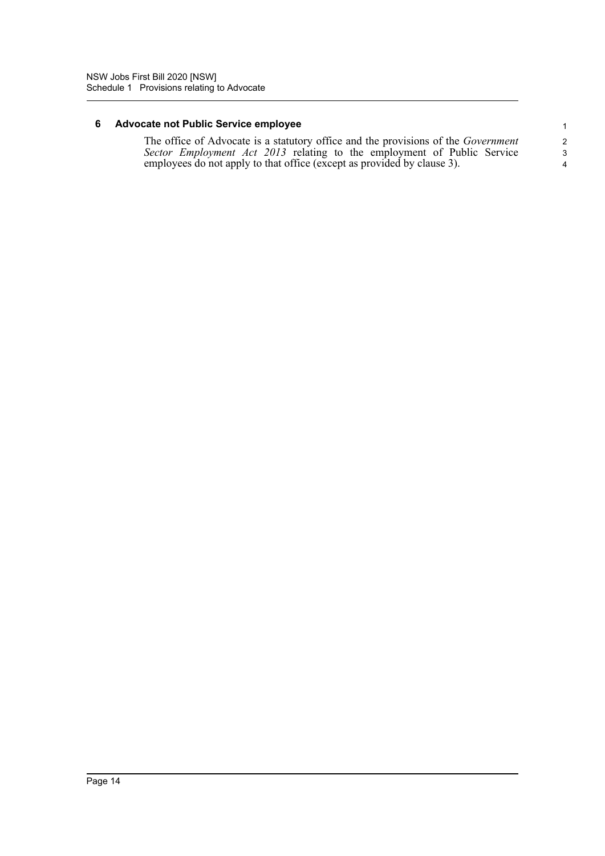### **6 Advocate not Public Service employee**

The office of Advocate is a statutory office and the provisions of the *Government Sector Employment Act 2013* relating to the employment of Public Service employees do not apply to that office (except as provided by clause 3).

4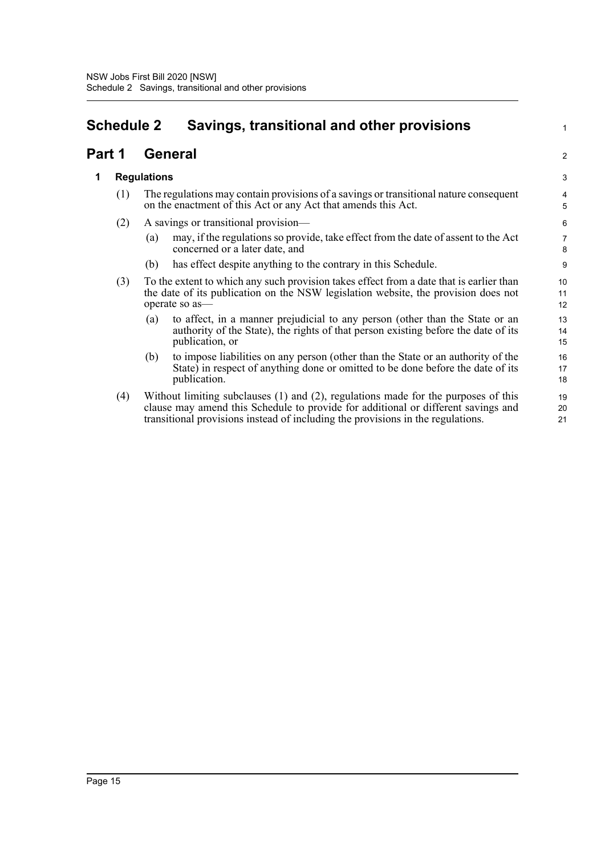## <span id="page-19-0"></span>**Schedule 2 Savings, transitional and other provisions**

### **Part 1 General**

### **1 Regulations**

- (1) The regulations may contain provisions of a savings or transitional nature consequent on the enactment of this Act or any Act that amends this Act.
- (2) A savings or transitional provision—
	- (a) may, if the regulations so provide, take effect from the date of assent to the Act concerned or a later date, and

1

2

- (b) has effect despite anything to the contrary in this Schedule.
- (3) To the extent to which any such provision takes effect from a date that is earlier than the date of its publication on the NSW legislation website, the provision does not operate so as—
	- (a) to affect, in a manner prejudicial to any person (other than the State or an authority of the State), the rights of that person existing before the date of its publication, or
	- (b) to impose liabilities on any person (other than the State or an authority of the State) in respect of anything done or omitted to be done before the date of its publication.
- (4) Without limiting subclauses (1) and (2), regulations made for the purposes of this clause may amend this Schedule to provide for additional or different savings and transitional provisions instead of including the provisions in the regulations.